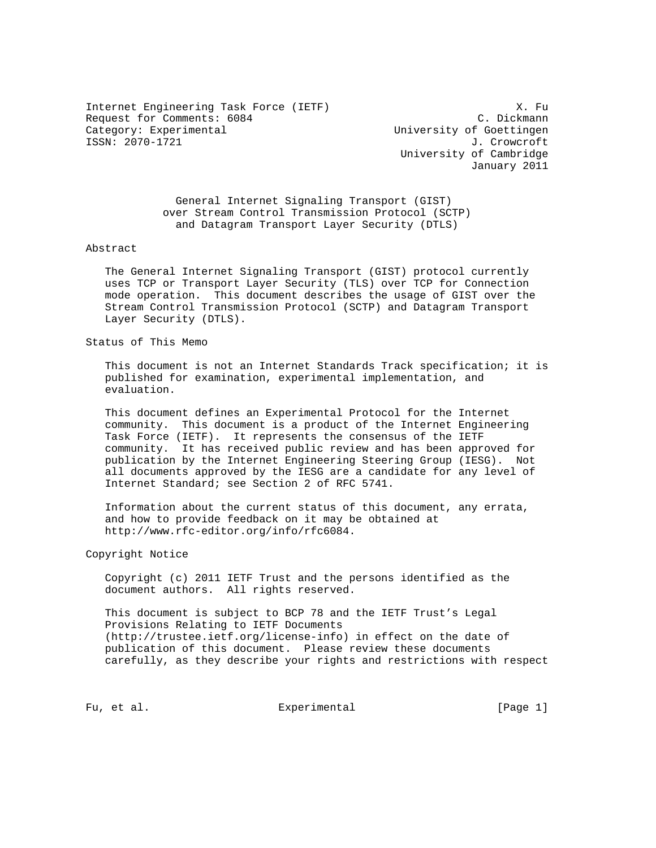Internet Engineering Task Force (IETF) 3. Fu Request for Comments: 6084 C. Dickmann<br>
Category: Experimental Category: Experimental ISSN: 2070-1721

University of Goettingen<br>J. Crowcroft University of Cambridge January 2011

 General Internet Signaling Transport (GIST) over Stream Control Transmission Protocol (SCTP) and Datagram Transport Layer Security (DTLS)

Abstract

 The General Internet Signaling Transport (GIST) protocol currently uses TCP or Transport Layer Security (TLS) over TCP for Connection mode operation. This document describes the usage of GIST over the Stream Control Transmission Protocol (SCTP) and Datagram Transport Layer Security (DTLS).

Status of This Memo

 This document is not an Internet Standards Track specification; it is published for examination, experimental implementation, and evaluation.

 This document defines an Experimental Protocol for the Internet community. This document is a product of the Internet Engineering Task Force (IETF). It represents the consensus of the IETF community. It has received public review and has been approved for publication by the Internet Engineering Steering Group (IESG). Not all documents approved by the IESG are a candidate for any level of Internet Standard; see Section 2 of RFC 5741.

 Information about the current status of this document, any errata, and how to provide feedback on it may be obtained at http://www.rfc-editor.org/info/rfc6084.

Copyright Notice

 Copyright (c) 2011 IETF Trust and the persons identified as the document authors. All rights reserved.

 This document is subject to BCP 78 and the IETF Trust's Legal Provisions Relating to IETF Documents (http://trustee.ietf.org/license-info) in effect on the date of publication of this document. Please review these documents carefully, as they describe your rights and restrictions with respect

Fu, et al. Experimental [Page 1]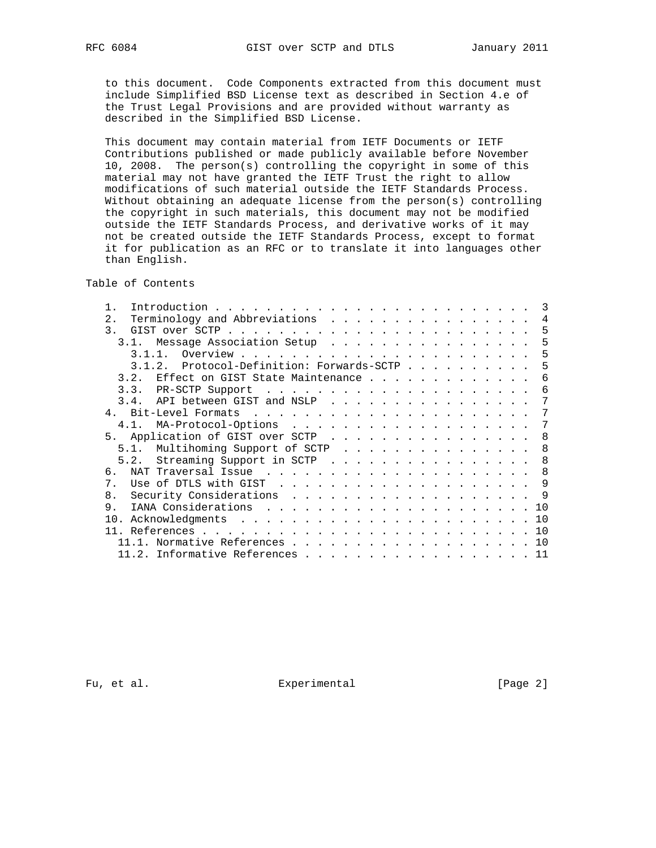to this document. Code Components extracted from this document must include Simplified BSD License text as described in Section 4.e of the Trust Legal Provisions and are provided without warranty as described in the Simplified BSD License.

 This document may contain material from IETF Documents or IETF Contributions published or made publicly available before November 10, 2008. The person(s) controlling the copyright in some of this material may not have granted the IETF Trust the right to allow modifications of such material outside the IETF Standards Process. Without obtaining an adequate license from the person(s) controlling the copyright in such materials, this document may not be modified outside the IETF Standards Process, and derivative works of it may not be created outside the IETF Standards Process, except to format it for publication as an RFC or to translate it into languages other than English.

Table of Contents

| Introduction $\cdots$ , $\cdots$ , $\cdots$ , $\cdots$ , $\cdots$ , $\cdots$ , $\cdots$ , $\cdots$ , $\cdots$ , $\cdots$ | $\mathcal{R}$  |
|--------------------------------------------------------------------------------------------------------------------------|----------------|
| 2.                                                                                                                       | $\overline{4}$ |
| $\overline{3}$ .                                                                                                         | -5             |
| 3.1. Message Association Setup                                                                                           | -5             |
|                                                                                                                          | 5              |
| Protocol-Definition: Forwards-SCTP<br>3.1.2.                                                                             | -5             |
| 3.2. Effect on GIST State Maintenance                                                                                    | 6              |
|                                                                                                                          | 6              |
| 3.4. API between GIST and NSLP                                                                                           | 7              |
|                                                                                                                          | 7              |
| 4.1. MA-Protocol-Options                                                                                                 | -7             |
| 5. Application of GIST over SCTP                                                                                         | -8             |
| 5.1. Multihoming Support of SCTP                                                                                         | 8              |
| 5.2. Streaming Support in SCTP 8                                                                                         |                |
| რ —                                                                                                                      |                |
| $7_{\circ}$                                                                                                              |                |
| Security Considerations 9<br>8.                                                                                          |                |
| 9.                                                                                                                       |                |
|                                                                                                                          |                |
|                                                                                                                          | 10             |
| $11.1.$ Normative References 10                                                                                          |                |
| 11.2. Informative References 11                                                                                          |                |
|                                                                                                                          |                |

Fu, et al. Experimental Experimental [Page 2]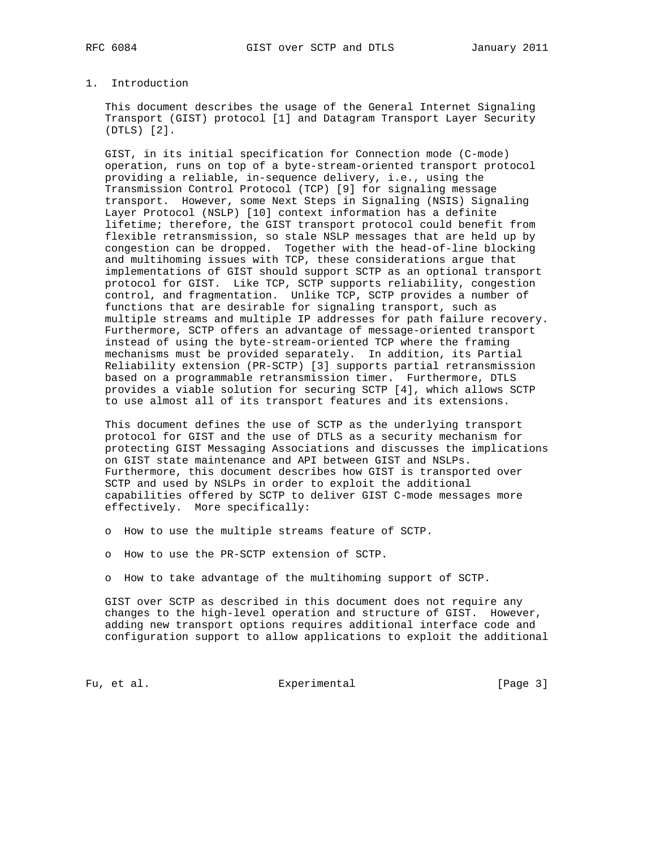# 1. Introduction

 This document describes the usage of the General Internet Signaling Transport (GIST) protocol [1] and Datagram Transport Layer Security (DTLS) [2].

 GIST, in its initial specification for Connection mode (C-mode) operation, runs on top of a byte-stream-oriented transport protocol providing a reliable, in-sequence delivery, i.e., using the Transmission Control Protocol (TCP) [9] for signaling message transport. However, some Next Steps in Signaling (NSIS) Signaling Layer Protocol (NSLP) [10] context information has a definite lifetime; therefore, the GIST transport protocol could benefit from flexible retransmission, so stale NSLP messages that are held up by congestion can be dropped. Together with the head-of-line blocking and multihoming issues with TCP, these considerations argue that implementations of GIST should support SCTP as an optional transport protocol for GIST. Like TCP, SCTP supports reliability, congestion control, and fragmentation. Unlike TCP, SCTP provides a number of functions that are desirable for signaling transport, such as multiple streams and multiple IP addresses for path failure recovery. Furthermore, SCTP offers an advantage of message-oriented transport instead of using the byte-stream-oriented TCP where the framing mechanisms must be provided separately. In addition, its Partial Reliability extension (PR-SCTP) [3] supports partial retransmission based on a programmable retransmission timer. Furthermore, DTLS provides a viable solution for securing SCTP [4], which allows SCTP to use almost all of its transport features and its extensions.

 This document defines the use of SCTP as the underlying transport protocol for GIST and the use of DTLS as a security mechanism for protecting GIST Messaging Associations and discusses the implications on GIST state maintenance and API between GIST and NSLPs. Furthermore, this document describes how GIST is transported over SCTP and used by NSLPs in order to exploit the additional capabilities offered by SCTP to deliver GIST C-mode messages more effectively. More specifically:

- o How to use the multiple streams feature of SCTP.
- o How to use the PR-SCTP extension of SCTP.
- o How to take advantage of the multihoming support of SCTP.

 GIST over SCTP as described in this document does not require any changes to the high-level operation and structure of GIST. However, adding new transport options requires additional interface code and configuration support to allow applications to exploit the additional

Fu, et al. Subsection Experimental Fu, et al. [Page 3]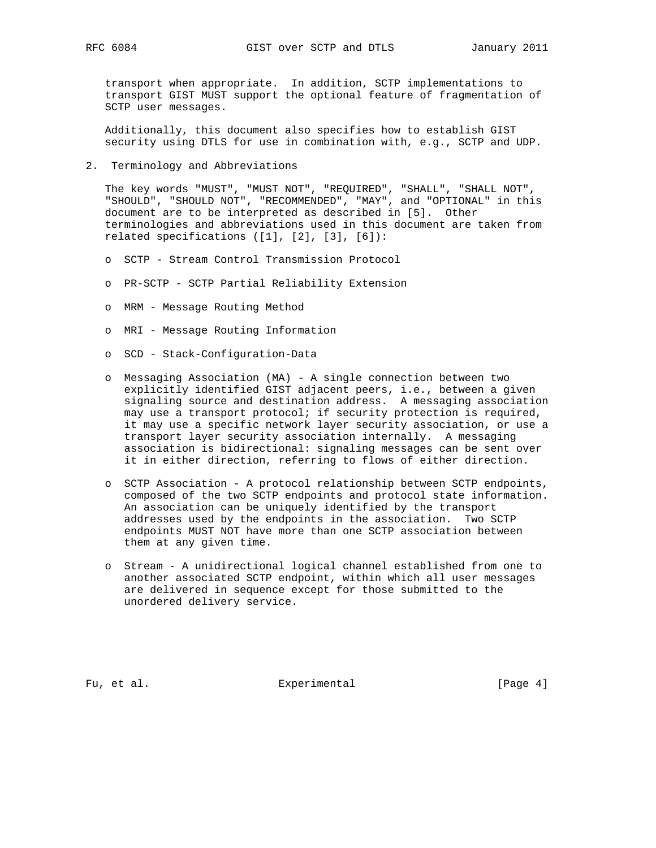transport when appropriate. In addition, SCTP implementations to transport GIST MUST support the optional feature of fragmentation of SCTP user messages.

 Additionally, this document also specifies how to establish GIST security using DTLS for use in combination with, e.g., SCTP and UDP.

2. Terminology and Abbreviations

 The key words "MUST", "MUST NOT", "REQUIRED", "SHALL", "SHALL NOT", "SHOULD", "SHOULD NOT", "RECOMMENDED", "MAY", and "OPTIONAL" in this document are to be interpreted as described in [5]. Other terminologies and abbreviations used in this document are taken from related specifications  $([1], [2], [3], [6])$ :

- o SCTP Stream Control Transmission Protocol
- o PR-SCTP SCTP Partial Reliability Extension
- o MRM Message Routing Method
- o MRI Message Routing Information
- o SCD Stack-Configuration-Data
- o Messaging Association (MA) A single connection between two explicitly identified GIST adjacent peers, i.e., between a given signaling source and destination address. A messaging association may use a transport protocol; if security protection is required, it may use a specific network layer security association, or use a transport layer security association internally. A messaging association is bidirectional: signaling messages can be sent over it in either direction, referring to flows of either direction.
- o SCTP Association A protocol relationship between SCTP endpoints, composed of the two SCTP endpoints and protocol state information. An association can be uniquely identified by the transport addresses used by the endpoints in the association. Two SCTP endpoints MUST NOT have more than one SCTP association between them at any given time.
- o Stream A unidirectional logical channel established from one to another associated SCTP endpoint, within which all user messages are delivered in sequence except for those submitted to the unordered delivery service.

Fu, et al. Experimental Experimental [Page 4]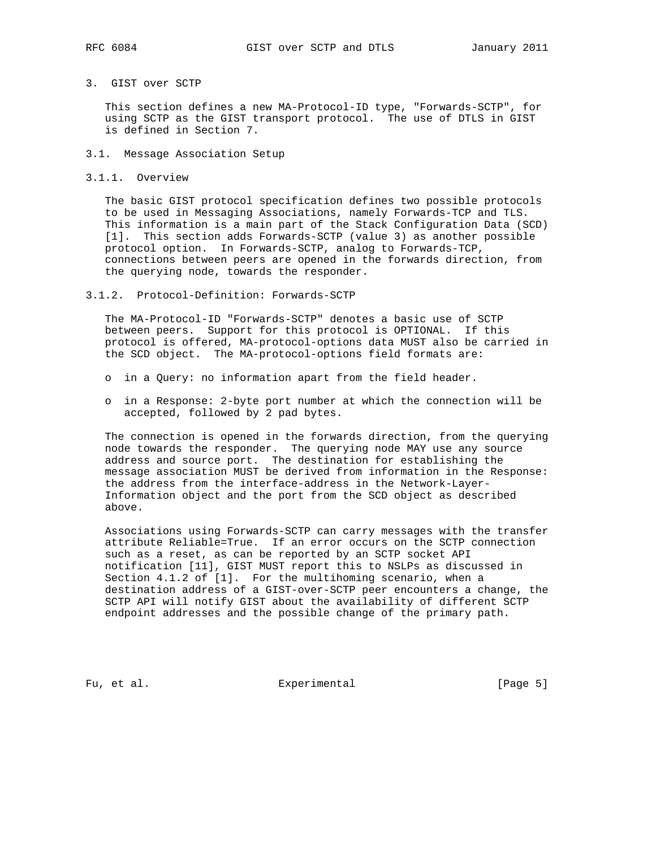## 3. GIST over SCTP

 This section defines a new MA-Protocol-ID type, "Forwards-SCTP", for using SCTP as the GIST transport protocol. The use of DTLS in GIST is defined in Section 7.

- 3.1. Message Association Setup
- 3.1.1. Overview

 The basic GIST protocol specification defines two possible protocols to be used in Messaging Associations, namely Forwards-TCP and TLS. This information is a main part of the Stack Configuration Data (SCD) [1]. This section adds Forwards-SCTP (value 3) as another possible protocol option. In Forwards-SCTP, analog to Forwards-TCP, connections between peers are opened in the forwards direction, from the querying node, towards the responder.

3.1.2. Protocol-Definition: Forwards-SCTP

 The MA-Protocol-ID "Forwards-SCTP" denotes a basic use of SCTP between peers. Support for this protocol is OPTIONAL. If this protocol is offered, MA-protocol-options data MUST also be carried in the SCD object. The MA-protocol-options field formats are:

- o in a Query: no information apart from the field header.
- o in a Response: 2-byte port number at which the connection will be accepted, followed by 2 pad bytes.

 The connection is opened in the forwards direction, from the querying node towards the responder. The querying node MAY use any source address and source port. The destination for establishing the message association MUST be derived from information in the Response: the address from the interface-address in the Network-Layer- Information object and the port from the SCD object as described above.

 Associations using Forwards-SCTP can carry messages with the transfer attribute Reliable=True. If an error occurs on the SCTP connection such as a reset, as can be reported by an SCTP socket API notification [11], GIST MUST report this to NSLPs as discussed in Section 4.1.2 of [1]. For the multihoming scenario, when a destination address of a GIST-over-SCTP peer encounters a change, the SCTP API will notify GIST about the availability of different SCTP endpoint addresses and the possible change of the primary path.

Fu, et al. Subsection Experimental Fu, et al. [Page 5]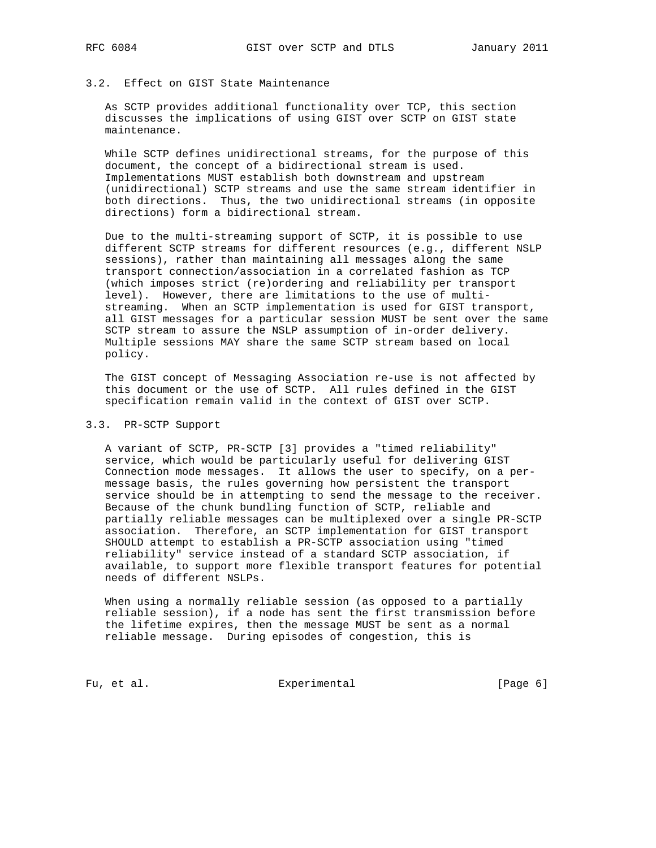# 3.2. Effect on GIST State Maintenance

 As SCTP provides additional functionality over TCP, this section discusses the implications of using GIST over SCTP on GIST state maintenance.

 While SCTP defines unidirectional streams, for the purpose of this document, the concept of a bidirectional stream is used. Implementations MUST establish both downstream and upstream (unidirectional) SCTP streams and use the same stream identifier in both directions. Thus, the two unidirectional streams (in opposite directions) form a bidirectional stream.

 Due to the multi-streaming support of SCTP, it is possible to use different SCTP streams for different resources (e.g., different NSLP sessions), rather than maintaining all messages along the same transport connection/association in a correlated fashion as TCP (which imposes strict (re)ordering and reliability per transport level). However, there are limitations to the use of multi streaming. When an SCTP implementation is used for GIST transport, all GIST messages for a particular session MUST be sent over the same SCTP stream to assure the NSLP assumption of in-order delivery. Multiple sessions MAY share the same SCTP stream based on local policy.

 The GIST concept of Messaging Association re-use is not affected by this document or the use of SCTP. All rules defined in the GIST specification remain valid in the context of GIST over SCTP.

#### 3.3. PR-SCTP Support

 A variant of SCTP, PR-SCTP [3] provides a "timed reliability" service, which would be particularly useful for delivering GIST Connection mode messages. It allows the user to specify, on a per message basis, the rules governing how persistent the transport service should be in attempting to send the message to the receiver. Because of the chunk bundling function of SCTP, reliable and partially reliable messages can be multiplexed over a single PR-SCTP association. Therefore, an SCTP implementation for GIST transport SHOULD attempt to establish a PR-SCTP association using "timed reliability" service instead of a standard SCTP association, if available, to support more flexible transport features for potential needs of different NSLPs.

 When using a normally reliable session (as opposed to a partially reliable session), if a node has sent the first transmission before the lifetime expires, then the message MUST be sent as a normal reliable message. During episodes of congestion, this is

Fu, et al. Subsection Experimental Fu, et al. [Page 6]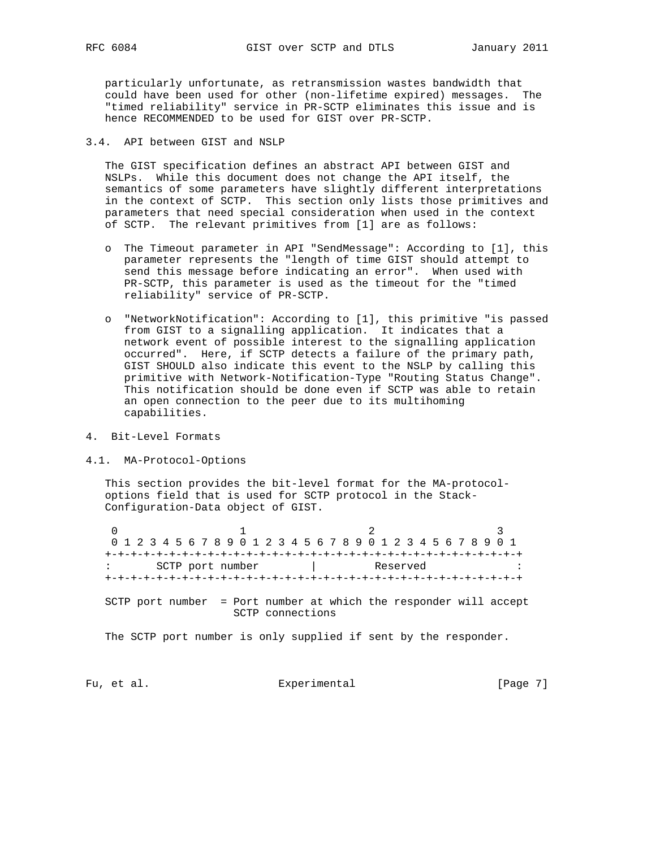particularly unfortunate, as retransmission wastes bandwidth that could have been used for other (non-lifetime expired) messages. The "timed reliability" service in PR-SCTP eliminates this issue and is hence RECOMMENDED to be used for GIST over PR-SCTP.

### 3.4. API between GIST and NSLP

 The GIST specification defines an abstract API between GIST and NSLPs. While this document does not change the API itself, the semantics of some parameters have slightly different interpretations in the context of SCTP. This section only lists those primitives and parameters that need special consideration when used in the context of SCTP. The relevant primitives from [1] are as follows:

- o The Timeout parameter in API "SendMessage": According to [1], this parameter represents the "length of time GIST should attempt to send this message before indicating an error". When used with PR-SCTP, this parameter is used as the timeout for the "timed reliability" service of PR-SCTP.
- o "NetworkNotification": According to [1], this primitive "is passed from GIST to a signalling application. It indicates that a network event of possible interest to the signalling application occurred". Here, if SCTP detects a failure of the primary path, GIST SHOULD also indicate this event to the NSLP by calling this primitive with Network-Notification-Type "Routing Status Change". This notification should be done even if SCTP was able to retain an open connection to the peer due to its multihoming capabilities.
- 4. Bit-Level Formats
- 4.1. MA-Protocol-Options

 This section provides the bit-level format for the MA-protocol options field that is used for SCTP protocol in the Stack- Configuration-Data object of GIST.

0  $1$  2 3 0 1 2 3 4 5 6 7 8 9 0 1 2 3 4 5 6 7 8 9 0 1 2 3 4 5 6 7 8 9 0 1 +-+-+-+-+-+-+-+-+-+-+-+-+-+-+-+-+-+-+-+-+-+-+-+-+-+-+-+-+-+-+-+-+ : SCTP port number | Reserved : +-+-+-+-+-+-+-+-+-+-+-+-+-+-+-+-+-+-+-+-+-+-+-+-+-+-+-+-+-+-+-+-+ SCTP port number = Port number at which the responder will accept SCTP connections

The SCTP port number is only supplied if sent by the responder.

Fu, et al. Subsection Experimental Fu, et al. [Page 7]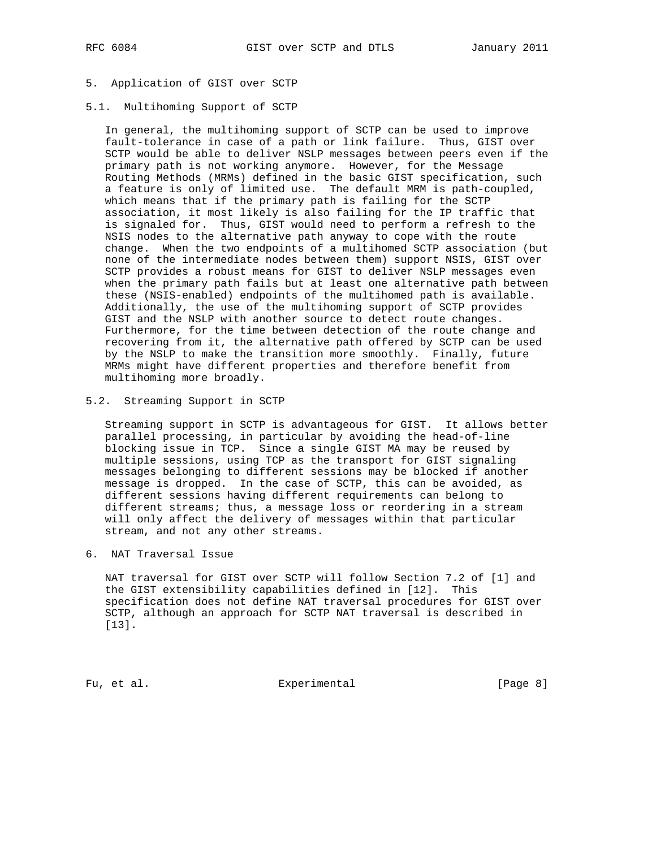# 5. Application of GIST over SCTP

#### 5.1. Multihoming Support of SCTP

 In general, the multihoming support of SCTP can be used to improve fault-tolerance in case of a path or link failure. Thus, GIST over SCTP would be able to deliver NSLP messages between peers even if the primary path is not working anymore. However, for the Message Routing Methods (MRMs) defined in the basic GIST specification, such a feature is only of limited use. The default MRM is path-coupled, which means that if the primary path is failing for the SCTP association, it most likely is also failing for the IP traffic that is signaled for. Thus, GIST would need to perform a refresh to the NSIS nodes to the alternative path anyway to cope with the route change. When the two endpoints of a multihomed SCTP association (but none of the intermediate nodes between them) support NSIS, GIST over SCTP provides a robust means for GIST to deliver NSLP messages even when the primary path fails but at least one alternative path between these (NSIS-enabled) endpoints of the multihomed path is available. Additionally, the use of the multihoming support of SCTP provides GIST and the NSLP with another source to detect route changes. Furthermore, for the time between detection of the route change and recovering from it, the alternative path offered by SCTP can be used by the NSLP to make the transition more smoothly. Finally, future MRMs might have different properties and therefore benefit from multihoming more broadly.

#### 5.2. Streaming Support in SCTP

 Streaming support in SCTP is advantageous for GIST. It allows better parallel processing, in particular by avoiding the head-of-line blocking issue in TCP. Since a single GIST MA may be reused by multiple sessions, using TCP as the transport for GIST signaling messages belonging to different sessions may be blocked if another message is dropped. In the case of SCTP, this can be avoided, as different sessions having different requirements can belong to different streams; thus, a message loss or reordering in a stream will only affect the delivery of messages within that particular stream, and not any other streams.

6. NAT Traversal Issue

 NAT traversal for GIST over SCTP will follow Section 7.2 of [1] and the GIST extensibility capabilities defined in [12]. This specification does not define NAT traversal procedures for GIST over SCTP, although an approach for SCTP NAT traversal is described in [13].

Fu, et al. Subsection Experimental Fu, et al. [Page 8]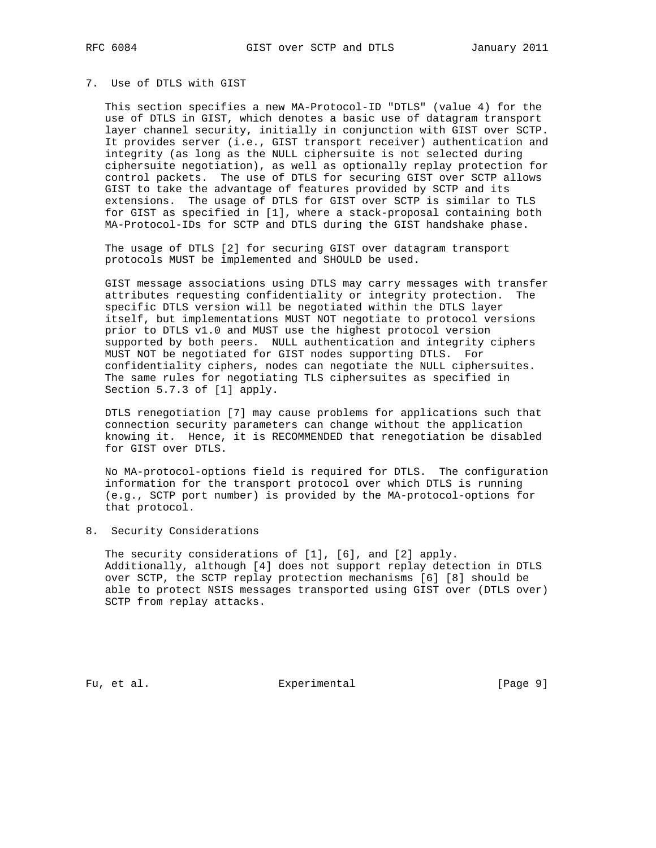## 7. Use of DTLS with GIST

 This section specifies a new MA-Protocol-ID "DTLS" (value 4) for the use of DTLS in GIST, which denotes a basic use of datagram transport layer channel security, initially in conjunction with GIST over SCTP. It provides server (i.e., GIST transport receiver) authentication and integrity (as long as the NULL ciphersuite is not selected during ciphersuite negotiation), as well as optionally replay protection for control packets. The use of DTLS for securing GIST over SCTP allows GIST to take the advantage of features provided by SCTP and its extensions. The usage of DTLS for GIST over SCTP is similar to TLS for GIST as specified in [1], where a stack-proposal containing both MA-Protocol-IDs for SCTP and DTLS during the GIST handshake phase.

 The usage of DTLS [2] for securing GIST over datagram transport protocols MUST be implemented and SHOULD be used.

 GIST message associations using DTLS may carry messages with transfer attributes requesting confidentiality or integrity protection. The specific DTLS version will be negotiated within the DTLS layer itself, but implementations MUST NOT negotiate to protocol versions prior to DTLS v1.0 and MUST use the highest protocol version supported by both peers. NULL authentication and integrity ciphers MUST NOT be negotiated for GIST nodes supporting DTLS. For confidentiality ciphers, nodes can negotiate the NULL ciphersuites. The same rules for negotiating TLS ciphersuites as specified in Section 5.7.3 of [1] apply.

 DTLS renegotiation [7] may cause problems for applications such that connection security parameters can change without the application knowing it. Hence, it is RECOMMENDED that renegotiation be disabled for GIST over DTLS.

 No MA-protocol-options field is required for DTLS. The configuration information for the transport protocol over which DTLS is running (e.g., SCTP port number) is provided by the MA-protocol-options for that protocol.

8. Security Considerations

The security considerations of [1], [6], and [2] apply. Additionally, although [4] does not support replay detection in DTLS over SCTP, the SCTP replay protection mechanisms [6] [8] should be able to protect NSIS messages transported using GIST over (DTLS over) SCTP from replay attacks.

Fu, et al. Subsection Experimental Fu, et al. [Page 9]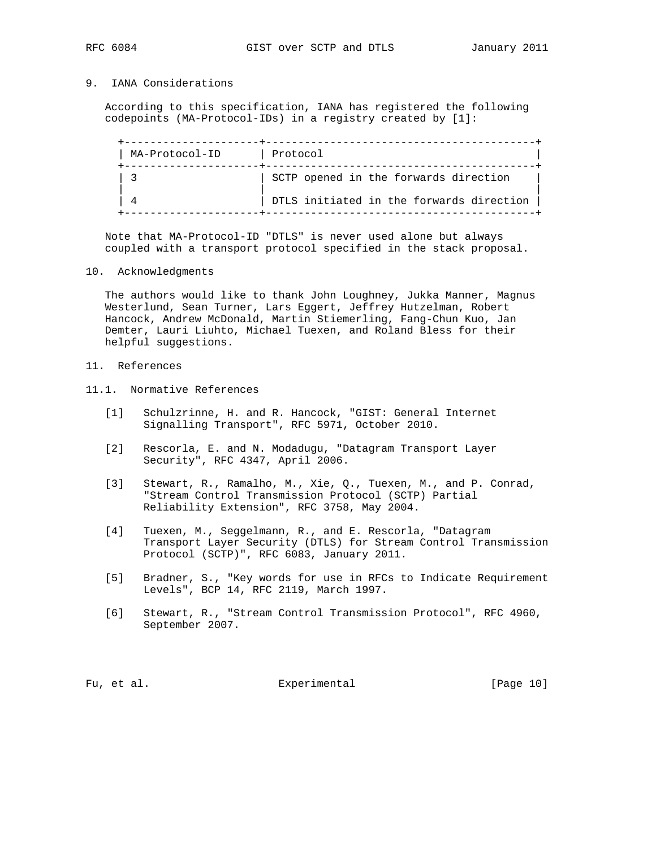# 9. IANA Considerations

 According to this specification, IANA has registered the following codepoints (MA-Protocol-IDs) in a registry created by [1]:

| MA-Protocol-ID | Protocol                                 |
|----------------|------------------------------------------|
|                | SCTP opened in the forwards direction    |
|                | DTLS initiated in the forwards direction |

 Note that MA-Protocol-ID "DTLS" is never used alone but always coupled with a transport protocol specified in the stack proposal.

#### 10. Acknowledgments

 The authors would like to thank John Loughney, Jukka Manner, Magnus Westerlund, Sean Turner, Lars Eggert, Jeffrey Hutzelman, Robert Hancock, Andrew McDonald, Martin Stiemerling, Fang-Chun Kuo, Jan Demter, Lauri Liuhto, Michael Tuexen, and Roland Bless for their helpful suggestions.

# 11. References

11.1. Normative References

- [1] Schulzrinne, H. and R. Hancock, "GIST: General Internet Signalling Transport", RFC 5971, October 2010.
- [2] Rescorla, E. and N. Modadugu, "Datagram Transport Layer Security", RFC 4347, April 2006.
- [3] Stewart, R., Ramalho, M., Xie, Q., Tuexen, M., and P. Conrad, "Stream Control Transmission Protocol (SCTP) Partial Reliability Extension", RFC 3758, May 2004.
- [4] Tuexen, M., Seggelmann, R., and E. Rescorla, "Datagram Transport Layer Security (DTLS) for Stream Control Transmission Protocol (SCTP)", RFC 6083, January 2011.
- [5] Bradner, S., "Key words for use in RFCs to Indicate Requirement Levels", BCP 14, RFC 2119, March 1997.
- [6] Stewart, R., "Stream Control Transmission Protocol", RFC 4960, September 2007.

Fu, et al. Superimental Experimental [Page 10]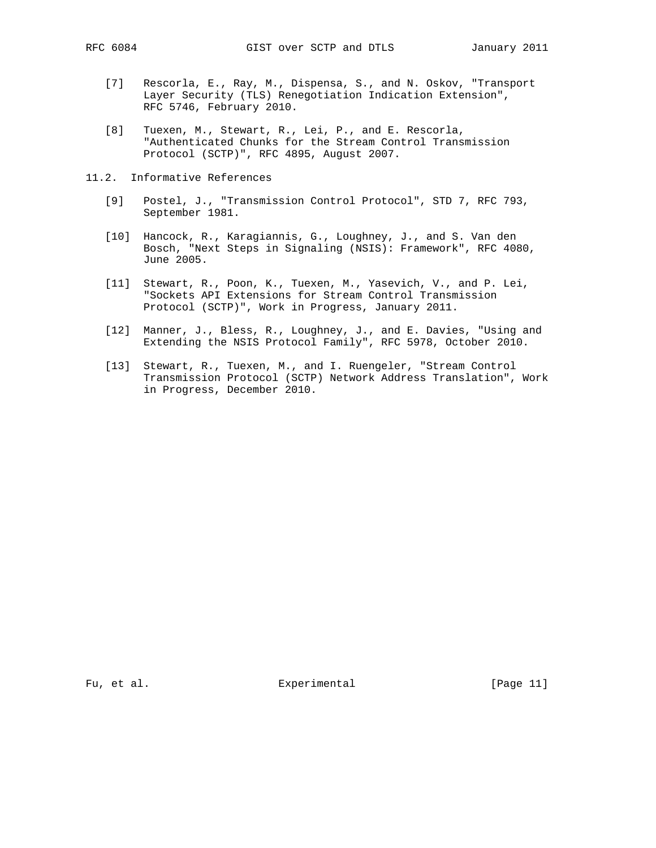- [7] Rescorla, E., Ray, M., Dispensa, S., and N. Oskov, "Transport Layer Security (TLS) Renegotiation Indication Extension", RFC 5746, February 2010.
- [8] Tuexen, M., Stewart, R., Lei, P., and E. Rescorla, "Authenticated Chunks for the Stream Control Transmission Protocol (SCTP)", RFC 4895, August 2007.
- 11.2. Informative References
	- [9] Postel, J., "Transmission Control Protocol", STD 7, RFC 793, September 1981.
	- [10] Hancock, R., Karagiannis, G., Loughney, J., and S. Van den Bosch, "Next Steps in Signaling (NSIS): Framework", RFC 4080, June 2005.
	- [11] Stewart, R., Poon, K., Tuexen, M., Yasevich, V., and P. Lei, "Sockets API Extensions for Stream Control Transmission Protocol (SCTP)", Work in Progress, January 2011.
	- [12] Manner, J., Bless, R., Loughney, J., and E. Davies, "Using and Extending the NSIS Protocol Family", RFC 5978, October 2010.
	- [13] Stewart, R., Tuexen, M., and I. Ruengeler, "Stream Control Transmission Protocol (SCTP) Network Address Translation", Work in Progress, December 2010.

Fu, et al. Subsection Experimental Fu, et al. [Page 11]